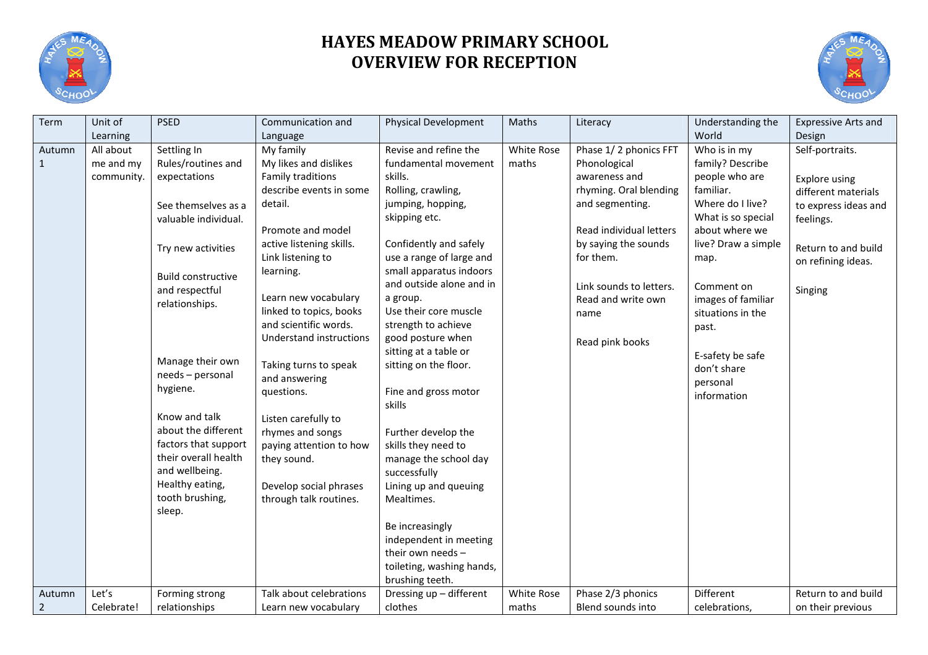

## **HAYES MEADOW PRIMARY SCHOOL OVERVIEW FOR RECEPTION**



| Term           | Unit of    | <b>PSED</b>               | Communication and           | Physical Development           | Maths      | Literacy                | Understanding the   | <b>Expressive Arts and</b> |
|----------------|------------|---------------------------|-----------------------------|--------------------------------|------------|-------------------------|---------------------|----------------------------|
|                | Learning   |                           | Language                    |                                |            |                         | World               | Design                     |
| Autumn         | All about  | Settling In               | My family                   | Revise and refine the          | White Rose | Phase 1/2 phonics FFT   | Who is in my        | Self-portraits.            |
| $\mathbf{1}$   | me and my  | Rules/routines and        | My likes and dislikes       | fundamental movement           | maths      | Phonological            | family? Describe    |                            |
|                | community. | expectations              | <b>Family traditions</b>    | skills.                        |            | awareness and           | people who are      | Explore using              |
|                |            |                           | describe events in some     | Rolling, crawling,             |            | rhyming. Oral blending  | familiar.           | different materials        |
|                |            | See themselves as a       | detail.                     | jumping, hopping,              |            | and segmenting.         | Where do I live?    | to express ideas and       |
|                |            | valuable individual.      |                             | skipping etc.                  |            |                         | What is so special  | feelings.                  |
|                |            |                           | Promote and model           |                                |            | Read individual letters | about where we      |                            |
|                |            | Try new activities        | active listening skills.    | Confidently and safely         |            | by saying the sounds    | live? Draw a simple | Return to and build        |
|                |            |                           | Link listening to           | use a range of large and       |            | for them.               | map.                | on refining ideas.         |
|                |            | <b>Build constructive</b> | learning.                   | small apparatus indoors        |            |                         |                     |                            |
|                |            | and respectful            |                             | and outside alone and in       |            | Link sounds to letters. | Comment on          | Singing                    |
|                |            | relationships.            | Learn new vocabulary        | a group.                       |            | Read and write own      | images of familiar  |                            |
|                |            |                           | linked to topics, books     | Use their core muscle          |            | name                    | situations in the   |                            |
|                |            |                           | and scientific words.       | strength to achieve            |            |                         | past.               |                            |
|                |            |                           | Understand instructions     | good posture when              |            | Read pink books         |                     |                            |
|                |            | Manage their own          |                             | sitting at a table or          |            |                         | E-safety be safe    |                            |
|                |            | needs - personal          | Taking turns to speak       | sitting on the floor.          |            |                         | don't share         |                            |
|                |            | hygiene.                  | and answering<br>questions. |                                |            |                         | personal            |                            |
|                |            |                           |                             | Fine and gross motor<br>skills |            |                         | information         |                            |
|                |            | Know and talk             | Listen carefully to         |                                |            |                         |                     |                            |
|                |            | about the different       | rhymes and songs            | Further develop the            |            |                         |                     |                            |
|                |            | factors that support      | paying attention to how     | skills they need to            |            |                         |                     |                            |
|                |            | their overall health      | they sound.                 | manage the school day          |            |                         |                     |                            |
|                |            | and wellbeing.            |                             | successfully                   |            |                         |                     |                            |
|                |            | Healthy eating,           | Develop social phrases      | Lining up and queuing          |            |                         |                     |                            |
|                |            | tooth brushing,           | through talk routines.      | Mealtimes.                     |            |                         |                     |                            |
|                |            | sleep.                    |                             |                                |            |                         |                     |                            |
|                |            |                           |                             | Be increasingly                |            |                         |                     |                            |
|                |            |                           |                             | independent in meeting         |            |                         |                     |                            |
|                |            |                           |                             | their own needs $-$            |            |                         |                     |                            |
|                |            |                           |                             | toileting, washing hands,      |            |                         |                     |                            |
|                |            |                           |                             | brushing teeth.                |            |                         |                     |                            |
| Autumn         | Let's      | Forming strong            | Talk about celebrations     | Dressing up - different        | White Rose | Phase 2/3 phonics       | Different           | Return to and build        |
| $\overline{2}$ | Celebrate! | relationships             | Learn new vocabulary        | clothes                        | maths      | Blend sounds into       | celebrations,       | on their previous          |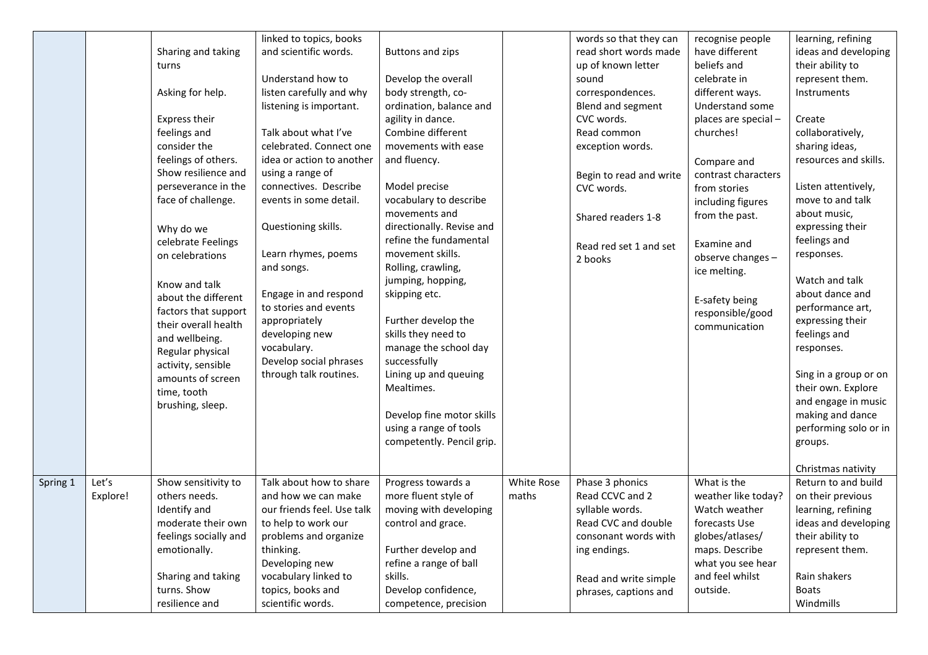|          |                   | Sharing and taking<br>turns<br>Asking for help.<br>Express their<br>feelings and<br>consider the<br>feelings of others.<br>Show resilience and<br>perseverance in the<br>face of challenge.<br>Why do we<br>celebrate Feelings<br>on celebrations<br>Know and talk<br>about the different<br>factors that support<br>their overall health<br>and wellbeing.<br>Regular physical<br>activity, sensible<br>amounts of screen<br>time, tooth<br>brushing, sleep. | linked to topics, books<br>and scientific words.<br>Understand how to<br>listen carefully and why<br>listening is important.<br>Talk about what I've<br>celebrated. Connect one<br>idea or action to another<br>using a range of<br>connectives. Describe<br>events in some detail.<br>Questioning skills.<br>Learn rhymes, poems<br>and songs.<br>Engage in and respond<br>to stories and events<br>appropriately<br>developing new<br>vocabulary.<br>Develop social phrases<br>through talk routines. | <b>Buttons and zips</b><br>Develop the overall<br>body strength, co-<br>ordination, balance and<br>agility in dance.<br>Combine different<br>movements with ease<br>and fluency.<br>Model precise<br>vocabulary to describe<br>movements and<br>directionally. Revise and<br>refine the fundamental<br>movement skills.<br>Rolling, crawling,<br>jumping, hopping,<br>skipping etc.<br>Further develop the<br>skills they need to<br>manage the school day<br>successfully<br>Lining up and queuing<br>Mealtimes.<br>Develop fine motor skills<br>using a range of tools<br>competently. Pencil grip. |                     | words so that they can<br>read short words made<br>up of known letter<br>sound<br>correspondences.<br>Blend and segment<br>CVC words.<br>Read common<br>exception words.<br>Begin to read and write<br>CVC words.<br>Shared readers 1-8<br>Read red set 1 and set<br>2 books | recognise people<br>have different<br>beliefs and<br>celebrate in<br>different ways.<br>Understand some<br>places are special -<br>churches!<br>Compare and<br>contrast characters<br>from stories<br>including figures<br>from the past.<br>Examine and<br>observe changes -<br>ice melting.<br>E-safety being<br>responsible/good<br>communication | learning, refining<br>ideas and developing<br>their ability to<br>represent them.<br>Instruments<br>Create<br>collaboratively,<br>sharing ideas,<br>resources and skills.<br>Listen attentively,<br>move to and talk<br>about music,<br>expressing their<br>feelings and<br>responses.<br>Watch and talk<br>about dance and<br>performance art,<br>expressing their<br>feelings and<br>responses.<br>Sing in a group or on<br>their own. Explore<br>and engage in music<br>making and dance<br>performing solo or in<br>groups.<br>Christmas nativity |
|----------|-------------------|---------------------------------------------------------------------------------------------------------------------------------------------------------------------------------------------------------------------------------------------------------------------------------------------------------------------------------------------------------------------------------------------------------------------------------------------------------------|---------------------------------------------------------------------------------------------------------------------------------------------------------------------------------------------------------------------------------------------------------------------------------------------------------------------------------------------------------------------------------------------------------------------------------------------------------------------------------------------------------|-------------------------------------------------------------------------------------------------------------------------------------------------------------------------------------------------------------------------------------------------------------------------------------------------------------------------------------------------------------------------------------------------------------------------------------------------------------------------------------------------------------------------------------------------------------------------------------------------------|---------------------|------------------------------------------------------------------------------------------------------------------------------------------------------------------------------------------------------------------------------------------------------------------------------|------------------------------------------------------------------------------------------------------------------------------------------------------------------------------------------------------------------------------------------------------------------------------------------------------------------------------------------------------|-------------------------------------------------------------------------------------------------------------------------------------------------------------------------------------------------------------------------------------------------------------------------------------------------------------------------------------------------------------------------------------------------------------------------------------------------------------------------------------------------------------------------------------------------------|
| Spring 1 | Let's<br>Explore! | Show sensitivity to<br>others needs.<br>Identify and<br>moderate their own<br>feelings socially and<br>emotionally.<br>Sharing and taking<br>turns. Show<br>resilience and                                                                                                                                                                                                                                                                                    | Talk about how to share<br>and how we can make<br>our friends feel. Use talk<br>to help to work our<br>problems and organize<br>thinking.<br>Developing new<br>vocabulary linked to<br>topics, books and<br>scientific words.                                                                                                                                                                                                                                                                           | Progress towards a<br>more fluent style of<br>moving with developing<br>control and grace.<br>Further develop and<br>refine a range of ball<br>skills.<br>Develop confidence,<br>competence, precision                                                                                                                                                                                                                                                                                                                                                                                                | White Rose<br>maths | Phase 3 phonics<br>Read CCVC and 2<br>syllable words.<br>Read CVC and double<br>consonant words with<br>ing endings.<br>Read and write simple<br>phrases, captions and                                                                                                       | What is the<br>weather like today?<br>Watch weather<br>forecasts Use<br>globes/atlases/<br>maps. Describe<br>what you see hear<br>and feel whilst<br>outside.                                                                                                                                                                                        | Return to and build<br>on their previous<br>learning, refining<br>ideas and developing<br>their ability to<br>represent them.<br>Rain shakers<br><b>Boats</b><br>Windmills                                                                                                                                                                                                                                                                                                                                                                            |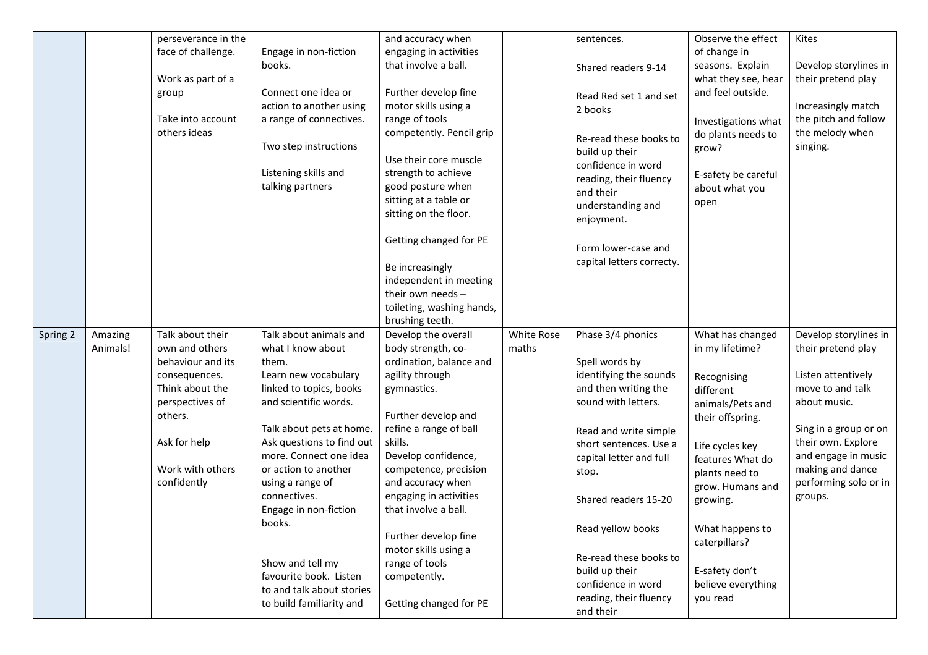|          |                     | perseverance in the                |                                                       | and accuracy when                         |                     | sentences.                                        | Observe the effect                  | Kites                                       |
|----------|---------------------|------------------------------------|-------------------------------------------------------|-------------------------------------------|---------------------|---------------------------------------------------|-------------------------------------|---------------------------------------------|
|          |                     | face of challenge.                 | Engage in non-fiction                                 | engaging in activities                    |                     |                                                   | of change in                        |                                             |
|          |                     |                                    | books.                                                | that involve a ball.                      |                     | Shared readers 9-14                               | seasons. Explain                    | Develop storylines in                       |
|          |                     | Work as part of a                  |                                                       |                                           |                     |                                                   | what they see, hear                 | their pretend play                          |
|          |                     | group                              | Connect one idea or                                   | Further develop fine                      |                     | Read Red set 1 and set                            | and feel outside.                   |                                             |
|          |                     |                                    | action to another using                               | motor skills using a                      |                     | 2 books                                           |                                     | Increasingly match                          |
|          |                     | Take into account                  | a range of connectives.                               | range of tools                            |                     |                                                   | Investigations what                 | the pitch and follow                        |
|          |                     | others ideas                       |                                                       | competently. Pencil grip                  |                     | Re-read these books to                            | do plants needs to                  | the melody when                             |
|          |                     |                                    | Two step instructions                                 | Use their core muscle                     |                     | build up their                                    | grow?                               | singing.                                    |
|          |                     |                                    | Listening skills and                                  | strength to achieve                       |                     | confidence in word                                | E-safety be careful                 |                                             |
|          |                     |                                    | talking partners                                      | good posture when                         |                     | reading, their fluency                            | about what you                      |                                             |
|          |                     |                                    |                                                       | sitting at a table or                     |                     | and their                                         | open                                |                                             |
|          |                     |                                    |                                                       | sitting on the floor.                     |                     | understanding and                                 |                                     |                                             |
|          |                     |                                    |                                                       |                                           |                     | enjoyment.                                        |                                     |                                             |
|          |                     |                                    |                                                       | Getting changed for PE                    |                     |                                                   |                                     |                                             |
|          |                     |                                    |                                                       |                                           |                     | Form lower-case and<br>capital letters correcty.  |                                     |                                             |
|          |                     |                                    |                                                       | Be increasingly                           |                     |                                                   |                                     |                                             |
|          |                     |                                    |                                                       | independent in meeting                    |                     |                                                   |                                     |                                             |
|          |                     |                                    |                                                       | their own needs -                         |                     |                                                   |                                     |                                             |
|          |                     |                                    |                                                       | toileting, washing hands,                 |                     |                                                   |                                     |                                             |
|          |                     |                                    |                                                       | brushing teeth.                           |                     |                                                   |                                     |                                             |
| Spring 2 | Amazing<br>Animals! | Talk about their<br>own and others | Talk about animals and<br>what I know about           | Develop the overall<br>body strength, co- | White Rose<br>maths | Phase 3/4 phonics                                 | What has changed<br>in my lifetime? | Develop storylines in<br>their pretend play |
|          |                     | behaviour and its                  | them.                                                 | ordination, balance and                   |                     | Spell words by                                    |                                     |                                             |
|          |                     | consequences.                      | Learn new vocabulary                                  | agility through                           |                     | identifying the sounds                            | Recognising                         | Listen attentively                          |
|          |                     | Think about the                    | linked to topics, books                               | gymnastics.                               |                     | and then writing the                              | different                           | move to and talk                            |
|          |                     | perspectives of                    | and scientific words.                                 |                                           |                     | sound with letters.                               | animals/Pets and                    | about music.                                |
|          |                     | others.                            |                                                       | Further develop and                       |                     |                                                   | their offspring.                    |                                             |
|          |                     |                                    | Talk about pets at home.                              |                                           |                     |                                                   |                                     |                                             |
|          |                     |                                    |                                                       |                                           |                     |                                                   |                                     |                                             |
|          |                     | Ask for help                       | Ask questions to find out                             | refine a range of ball<br>skills.         |                     | Read and write simple                             |                                     | Sing in a group or on<br>their own. Explore |
|          |                     |                                    | more. Connect one idea                                | Develop confidence,                       |                     | short sentences. Use a<br>capital letter and full | Life cycles key                     | and engage in music                         |
|          |                     | Work with others                   | or action to another                                  | competence, precision                     |                     | stop.                                             | features What do                    | making and dance                            |
|          |                     | confidently                        | using a range of                                      | and accuracy when                         |                     |                                                   | plants need to<br>grow. Humans and  | performing solo or in                       |
|          |                     |                                    | connectives.                                          | engaging in activities                    |                     | Shared readers 15-20                              | growing.                            | groups.                                     |
|          |                     |                                    | Engage in non-fiction                                 | that involve a ball.                      |                     |                                                   |                                     |                                             |
|          |                     |                                    | books.                                                |                                           |                     | Read yellow books                                 | What happens to                     |                                             |
|          |                     |                                    |                                                       | Further develop fine                      |                     |                                                   | caterpillars?                       |                                             |
|          |                     |                                    |                                                       | motor skills using a                      |                     | Re-read these books to                            |                                     |                                             |
|          |                     |                                    | Show and tell my                                      | range of tools                            |                     | build up their                                    | E-safety don't                      |                                             |
|          |                     |                                    | favourite book. Listen                                | competently.                              |                     | confidence in word                                | believe everything                  |                                             |
|          |                     |                                    | to and talk about stories<br>to build familiarity and | Getting changed for PE                    |                     | reading, their fluency<br>and their               | you read                            |                                             |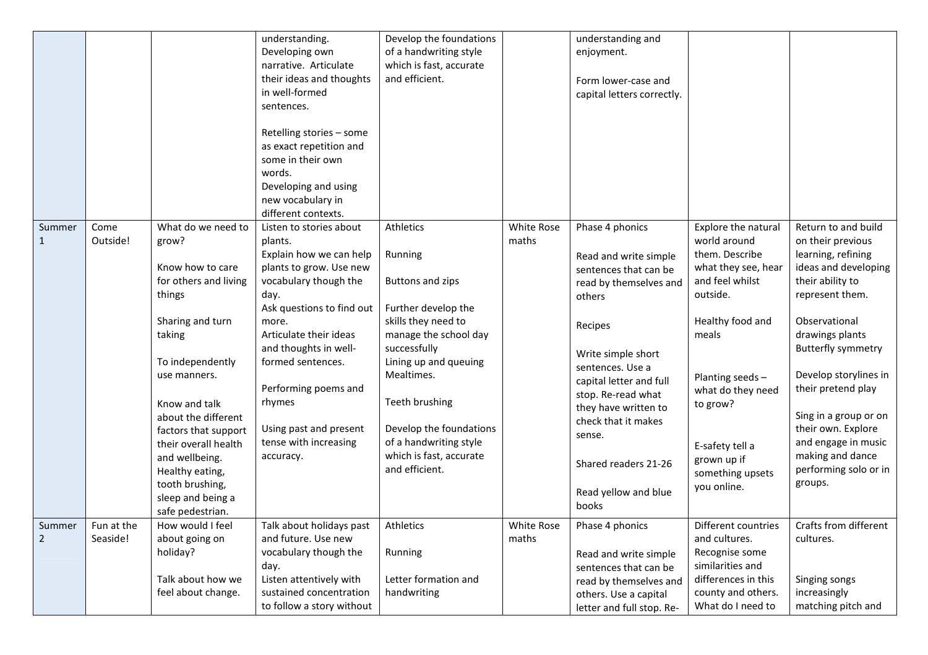|                          |                        |                                                                                                                                                                                                                                                                                                                                               | understanding.<br>Developing own<br>narrative. Articulate<br>their ideas and thoughts<br>in well-formed<br>sentences.<br>Retelling stories - some<br>as exact repetition and<br>some in their own<br>words.<br>Developing and using                                                                                                       | Develop the foundations<br>of a handwriting style<br>which is fast, accurate<br>and efficient.                                                                                                                                                                                             |                     | understanding and<br>enjoyment.<br>Form lower-case and<br>capital letters correctly.                                                                                                                                                                                                                                          |                                                                                                                                                                                                                                                                   |                                                                                                                                                                                                                                                                                                                                                                             |
|--------------------------|------------------------|-----------------------------------------------------------------------------------------------------------------------------------------------------------------------------------------------------------------------------------------------------------------------------------------------------------------------------------------------|-------------------------------------------------------------------------------------------------------------------------------------------------------------------------------------------------------------------------------------------------------------------------------------------------------------------------------------------|--------------------------------------------------------------------------------------------------------------------------------------------------------------------------------------------------------------------------------------------------------------------------------------------|---------------------|-------------------------------------------------------------------------------------------------------------------------------------------------------------------------------------------------------------------------------------------------------------------------------------------------------------------------------|-------------------------------------------------------------------------------------------------------------------------------------------------------------------------------------------------------------------------------------------------------------------|-----------------------------------------------------------------------------------------------------------------------------------------------------------------------------------------------------------------------------------------------------------------------------------------------------------------------------------------------------------------------------|
|                          |                        |                                                                                                                                                                                                                                                                                                                                               | new vocabulary in<br>different contexts.                                                                                                                                                                                                                                                                                                  |                                                                                                                                                                                                                                                                                            |                     |                                                                                                                                                                                                                                                                                                                               |                                                                                                                                                                                                                                                                   |                                                                                                                                                                                                                                                                                                                                                                             |
| Summer<br>1              | Come<br>Outside!       | What do we need to<br>grow?<br>Know how to care<br>for others and living<br>things<br>Sharing and turn<br>taking<br>To independently<br>use manners.<br>Know and talk<br>about the different<br>factors that support<br>their overall health<br>and wellbeing.<br>Healthy eating,<br>tooth brushing,<br>sleep and being a<br>safe pedestrian. | Listen to stories about<br>plants.<br>Explain how we can help<br>plants to grow. Use new<br>vocabulary though the<br>day.<br>Ask questions to find out<br>more.<br>Articulate their ideas<br>and thoughts in well-<br>formed sentences.<br>Performing poems and<br>rhymes<br>Using past and present<br>tense with increasing<br>accuracy. | Athletics<br>Running<br>Buttons and zips<br>Further develop the<br>skills they need to<br>manage the school day<br>successfully<br>Lining up and queuing<br>Mealtimes.<br>Teeth brushing<br>Develop the foundations<br>of a handwriting style<br>which is fast, accurate<br>and efficient. | White Rose<br>maths | Phase 4 phonics<br>Read and write simple<br>sentences that can be<br>read by themselves and<br>others<br>Recipes<br>Write simple short<br>sentences. Use a<br>capital letter and full<br>stop. Re-read what<br>they have written to<br>check that it makes<br>sense.<br>Shared readers 21-26<br>Read yellow and blue<br>books | Explore the natural<br>world around<br>them. Describe<br>what they see, hear<br>and feel whilst<br>outside.<br>Healthy food and<br>meals<br>Planting seeds-<br>what do they need<br>to grow?<br>E-safety tell a<br>grown up if<br>something upsets<br>you online. | Return to and build<br>on their previous<br>learning, refining<br>ideas and developing<br>their ability to<br>represent them.<br>Observational<br>drawings plants<br><b>Butterfly symmetry</b><br>Develop storylines in<br>their pretend play<br>Sing in a group or on<br>their own. Explore<br>and engage in music<br>making and dance<br>performing solo or in<br>groups. |
| summer<br>$\overline{2}$ | Fun at the<br>Seaside! | How would I feel<br>about going on<br>holiday?<br>Talk about how we<br>feel about change.                                                                                                                                                                                                                                                     | Talk about holidays past<br>and future. Use new<br>vocabulary though the<br>day.<br>Listen attentively with<br>sustained concentration<br>to follow a story without                                                                                                                                                                       | Athletics<br>Running<br>Letter formation and<br>handwriting                                                                                                                                                                                                                                | White Rose<br>maths | Phase 4 phonics<br>Read and write simple<br>sentences that can be<br>read by themselves and<br>others. Use a capital<br>letter and full stop. Re-                                                                                                                                                                             | Different countries<br>and cultures.<br>Recognise some<br>similarities and<br>differences in this<br>county and others.<br>What do I need to                                                                                                                      | Crafts from different<br>cultures.<br>Singing songs<br>increasingly<br>matching pitch and                                                                                                                                                                                                                                                                                   |